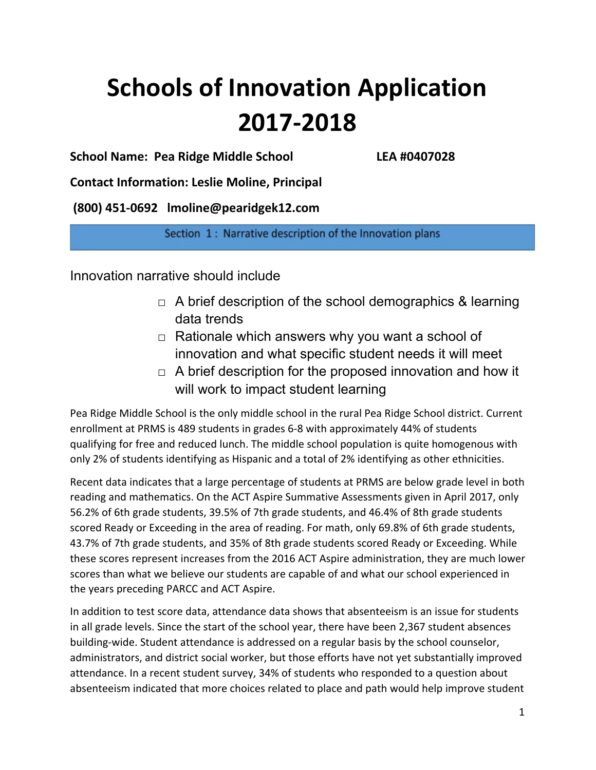# **Schools of Innovation Application 2017-2018**

**School Name: Pea Ridge Middle School LEA #0407028**

**Contact Information: Leslie Moline, Principal**

**(800) 451-0692 lmoline@pearidgek12.com**

Section 1: Narrative description of the Innovation plans

Innovation narrative should include

- $\Box$  A brief description of the school demographics & learning data trends
- $\Box$  Rationale which answers why you want a school of innovation and what specific student needs it will meet
- $\Box$  A brief description for the proposed innovation and how it will work to impact student learning

Pea Ridge Middle School is the only middle school in the rural Pea Ridge School district. Current enrollment at PRMS is 489 students in grades 6-8 with approximately 44% of students qualifying for free and reduced lunch. The middle school population is quite homogenous with only 2% of students identifying as Hispanic and a total of 2% identifying as other ethnicities.

Recent data indicates that a large percentage of students at PRMS are below grade level in both reading and mathematics. On the ACT Aspire Summative Assessments given in April 2017, only 56.2% of 6th grade students, 39.5% of 7th grade students, and 46.4% of 8th grade students scored Ready or Exceeding in the area of reading. For math, only 69.8% of 6th grade students, 43.7% of 7th grade students, and 35% of 8th grade students scored Ready or Exceeding. While these scores represent increases from the 2016 ACT Aspire administration, they are much lower scores than what we believe our students are capable of and what our school experienced in the years preceding PARCC and ACT Aspire.

In addition to test score data, attendance data shows that absenteeism is an issue for students in all grade levels. Since the start of the school year, there have been 2,367 student absences building-wide. Student attendance is addressed on a regular basis by the school counselor, administrators, and district social worker, but those efforts have not yet substantially improved attendance. In a recent student survey, 34% of students who responded to a question about absenteeism indicated that more choices related to place and path would help improve student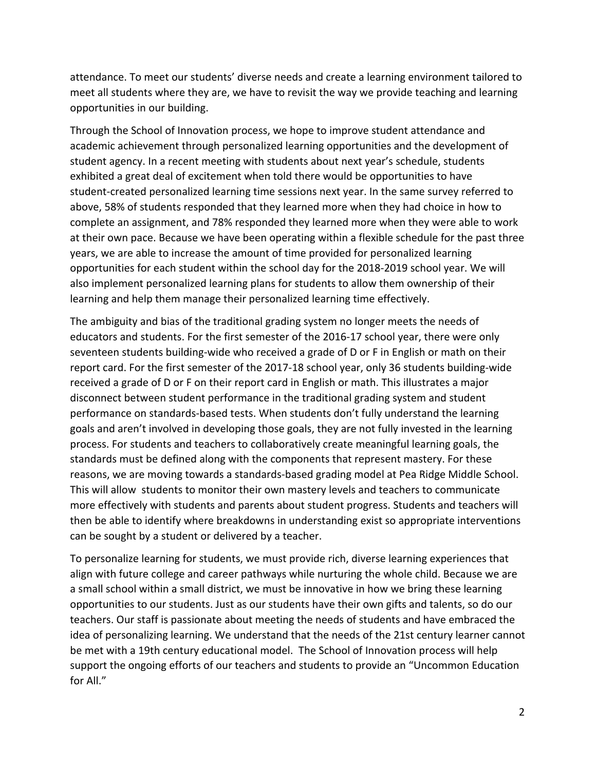attendance. To meet our students' diverse needs and create a learning environment tailored to meet all students where they are, we have to revisit the way we provide teaching and learning opportunities in our building.

Through the School of Innovation process, we hope to improve student attendance and academic achievement through personalized learning opportunities and the development of student agency. In a recent meeting with students about next year's schedule, students exhibited a great deal of excitement when told there would be opportunities to have student-created personalized learning time sessions next year. In the same survey referred to above, 58% of students responded that they learned more when they had choice in how to complete an assignment, and 78% responded they learned more when they were able to work at their own pace. Because we have been operating within a flexible schedule for the past three years, we are able to increase the amount of time provided for personalized learning opportunities for each student within the school day for the 2018-2019 school year. We will also implement personalized learning plans for students to allow them ownership of their learning and help them manage their personalized learning time effectively.

The ambiguity and bias of the traditional grading system no longer meets the needs of educators and students. For the first semester of the 2016-17 school year, there were only seventeen students building-wide who received a grade of D or F in English or math on their report card. For the first semester of the 2017-18 school year, only 36 students building-wide received a grade of D or F on their report card in English or math. This illustrates a major disconnect between student performance in the traditional grading system and student performance on standards-based tests. When students don't fully understand the learning goals and aren't involved in developing those goals, they are not fully invested in the learning process. For students and teachers to collaboratively create meaningful learning goals, the standards must be defined along with the components that represent mastery. For these reasons, we are moving towards a standards-based grading model at Pea Ridge Middle School. This will allow students to monitor their own mastery levels and teachers to communicate more effectively with students and parents about student progress. Students and teachers will then be able to identify where breakdowns in understanding exist so appropriate interventions can be sought by a student or delivered by a teacher.

To personalize learning for students, we must provide rich, diverse learning experiences that align with future college and career pathways while nurturing the whole child. Because we are a small school within a small district, we must be innovative in how we bring these learning opportunities to our students. Just as our students have their own gifts and talents, so do our teachers. Our staff is passionate about meeting the needs of students and have embraced the idea of personalizing learning. We understand that the needs of the 21st century learner cannot be met with a 19th century educational model. The School of Innovation process will help support the ongoing efforts of our teachers and students to provide an "Uncommon Education for All."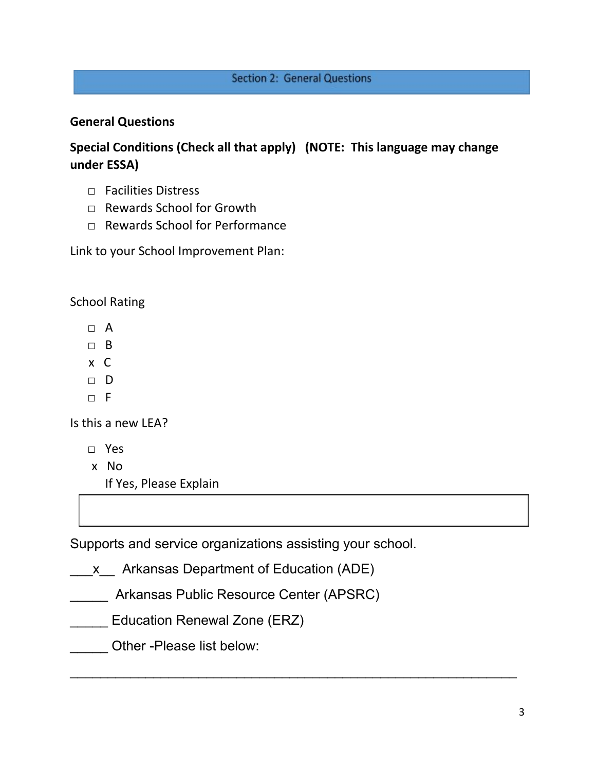# **Section 2: General Questions**

# **General Questions**

**Special Conditions (Check all that apply) (NOTE: This language may change under ESSA)**

- □ Facilities Distress
- □ Rewards School for Growth
- □ Rewards School for Performance

Link to your School Improvement Plan:

School Rating

- $\sqcap$  A
- □ B
- x C
- □ D
- $\neg$  F

Is this a new LEA?

- □ Yes
- x No

If Yes, Please Explain

Supports and service organizations assisting your school.

 $\overline{\phantom{a}}$  , and the contribution of the contribution of the contribution of the contribution of the contribution of the contribution of the contribution of the contribution of the contribution of the contribution of the

x Arkansas Department of Education (ADE)

- \_\_\_\_\_ Arkansas Public Resource Center (APSRC)
- \_\_\_\_\_ Education Renewal Zone (ERZ)
- Other -Please list below: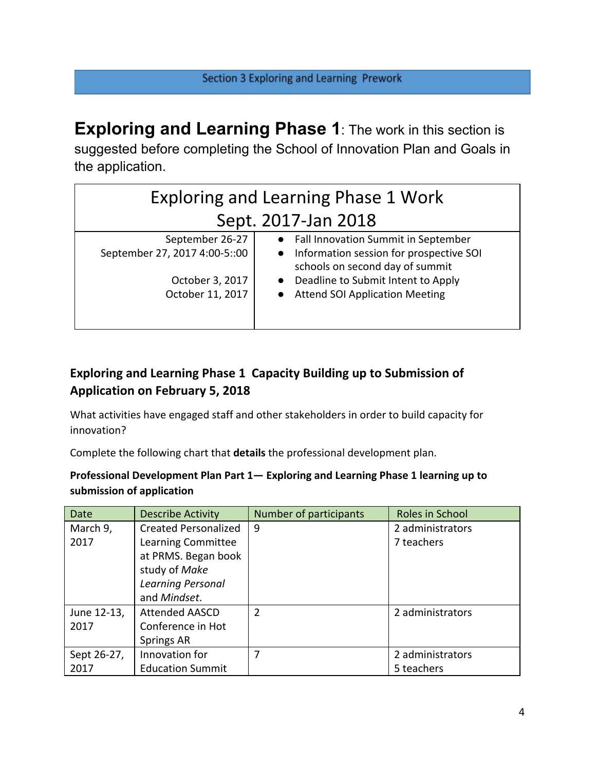**Exploring and Learning Phase 1**: The work in this section is suggested before completing the School of Innovation Plan and Goals in the application.

| <b>Exploring and Learning Phase 1 Work</b> |                                                                                         |  |  |  |
|--------------------------------------------|-----------------------------------------------------------------------------------------|--|--|--|
| Sept. 2017-Jan 2018                        |                                                                                         |  |  |  |
| September 26-27                            | • Fall Innovation Summit in September                                                   |  |  |  |
| September 27, 2017 4:00-5::00              | Information session for prospective SOI<br>$\bullet$<br>schools on second day of summit |  |  |  |
| October 3, 2017                            | Deadline to Submit Intent to Apply                                                      |  |  |  |
| October 11, 2017                           | <b>Attend SOI Application Meeting</b>                                                   |  |  |  |
|                                            |                                                                                         |  |  |  |

# **Exploring and Learning Phase 1 Capacity Building up to Submission of Application on February 5, 2018**

What activities have engaged staff and other stakeholders in order to build capacity for innovation?

Complete the following chart that **details** the professional development plan.

## **Professional Development Plan Part 1— Exploring and Learning Phase 1 learning up to submission of application**

| Date        | <b>Describe Activity</b>    | Number of participants | Roles in School  |
|-------------|-----------------------------|------------------------|------------------|
| March 9,    | <b>Created Personalized</b> | 9                      | 2 administrators |
| 2017        | Learning Committee          |                        | 7 teachers       |
|             | at PRMS. Began book         |                        |                  |
|             | study of Make               |                        |                  |
|             | Learning Personal           |                        |                  |
|             | and Mindset.                |                        |                  |
| June 12-13, | <b>Attended AASCD</b>       | $\overline{2}$         | 2 administrators |
| 2017        | Conference in Hot           |                        |                  |
|             | Springs AR                  |                        |                  |
| Sept 26-27, | Innovation for              | 7                      | 2 administrators |
| 2017        | <b>Education Summit</b>     |                        | 5 teachers       |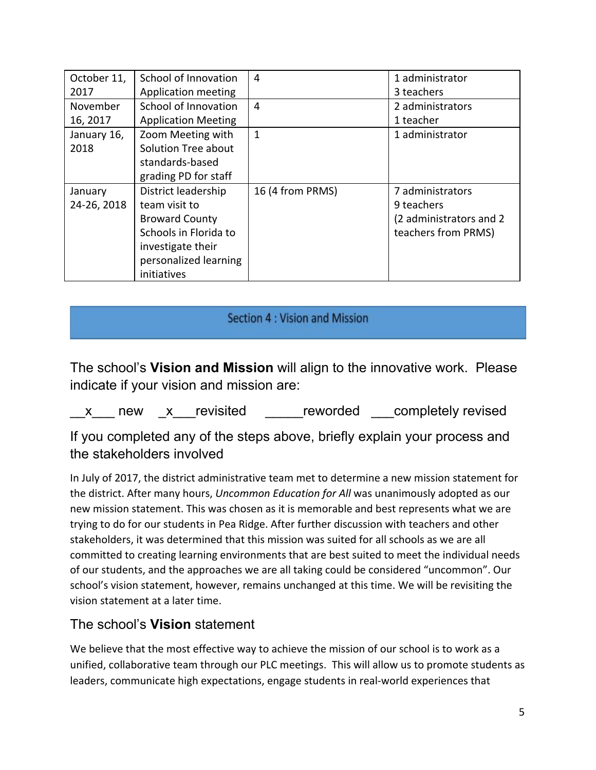| October 11, | School of Innovation       | 4                | 1 administrator          |
|-------------|----------------------------|------------------|--------------------------|
| 2017        | Application meeting        |                  | 3 teachers               |
| November    | School of Innovation       | 4                | 2 administrators         |
| 16, 2017    | <b>Application Meeting</b> |                  | 1 teacher                |
| January 16, | Zoom Meeting with          | $\mathbf{1}$     | 1 administrator          |
| 2018        | Solution Tree about        |                  |                          |
|             | standards-based            |                  |                          |
|             | grading PD for staff       |                  |                          |
| January     | District leadership        | 16 (4 from PRMS) | 7 administrators         |
| 24-26, 2018 | team visit to              |                  | 9 teachers               |
|             | <b>Broward County</b>      |                  | (2 administrators and 2) |
|             | Schools in Florida to      |                  | teachers from PRMS)      |
|             | investigate their          |                  |                          |
|             | personalized learning      |                  |                          |
|             | initiatives                |                  |                          |

# Section 4 : Vision and Mission

The school's **Vision and Mission** will align to the innovative work. Please indicate if your vision and mission are:

x new x revisited reworded completely revised

If you completed any of the steps above, briefly explain your process and the stakeholders involved

In July of 2017, the district administrative team met to determine a new mission statement for the district. After many hours, *Uncommon Education for All* was unanimously adopted as our new mission statement. This was chosen as it is memorable and best represents what we are trying to do for our students in Pea Ridge. After further discussion with teachers and other stakeholders, it was determined that this mission was suited for all schools as we are all committed to creating learning environments that are best suited to meet the individual needs of our students, and the approaches we are all taking could be considered "uncommon". Our school's vision statement, however, remains unchanged at this time. We will be revisiting the vision statement at a later time.

# The school's **Vision** statement

We believe that the most effective way to achieve the mission of our school is to work as a unified, collaborative team through our PLC meetings. This will allow us to promote students as leaders, communicate high expectations, engage students in real-world experiences that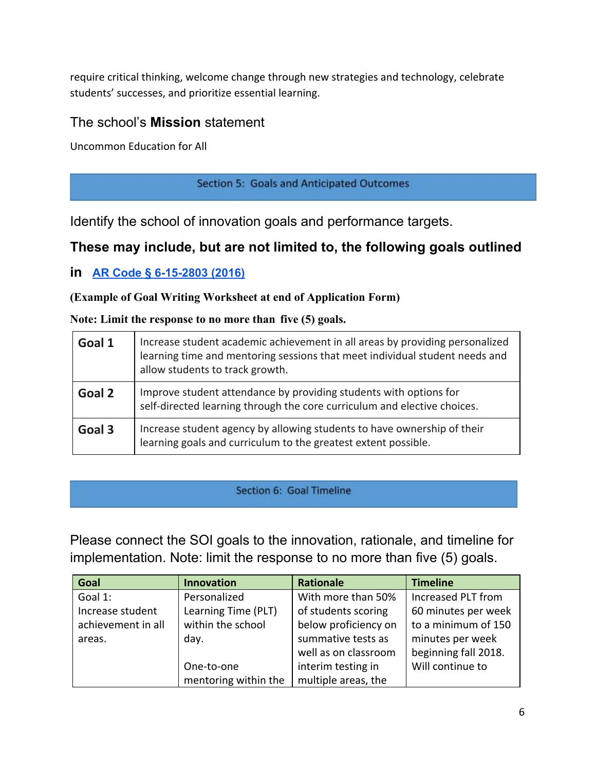require critical thinking, welcome change through new strategies and technology, celebrate students' successes, and prioritize essential learning.

# The school's **Mission** statement

Uncommon Education for All

Section 5: Goals and Anticipated Outcomes

Identify the school of innovation goals and performance targets.

# **These may include, but are not limited to, the following goals outlined**

**in [AR Code § 6-15-2803 \(2016\)](http://law.justia.com/codes/arkansas/2016/title-6/subtitle-2/chapter-15/subchapter-28/section-6-15-2803)**

## **(Example of Goal Writing Worksheet at end of Application Form)**

#### **Note: Limit the response to no more than five (5) goals.**

| Goal 1 | Increase student academic achievement in all areas by providing personalized<br>learning time and mentoring sessions that meet individual student needs and<br>allow students to track growth. |
|--------|------------------------------------------------------------------------------------------------------------------------------------------------------------------------------------------------|
| Goal 2 | Improve student attendance by providing students with options for<br>self-directed learning through the core curriculum and elective choices.                                                  |
| Goal 3 | Increase student agency by allowing students to have ownership of their<br>learning goals and curriculum to the greatest extent possible.                                                      |

#### Section 6: Goal Timeline

Please connect the SOI goals to the innovation, rationale, and timeline for implementation. Note: limit the response to no more than five (5) goals.

| Goal               | <b>Innovation</b>    | <b>Rationale</b>     | <b>Timeline</b>      |
|--------------------|----------------------|----------------------|----------------------|
| Goal 1:            | Personalized         | With more than 50%   | Increased PLT from   |
| Increase student   | Learning Time (PLT)  | of students scoring  | 60 minutes per week  |
| achievement in all | within the school    | below proficiency on | to a minimum of 150  |
| areas.             | day.                 | summative tests as   | minutes per week     |
|                    |                      | well as on classroom | beginning fall 2018. |
|                    | One-to-one           | interim testing in   | Will continue to     |
|                    | mentoring within the | multiple areas, the  |                      |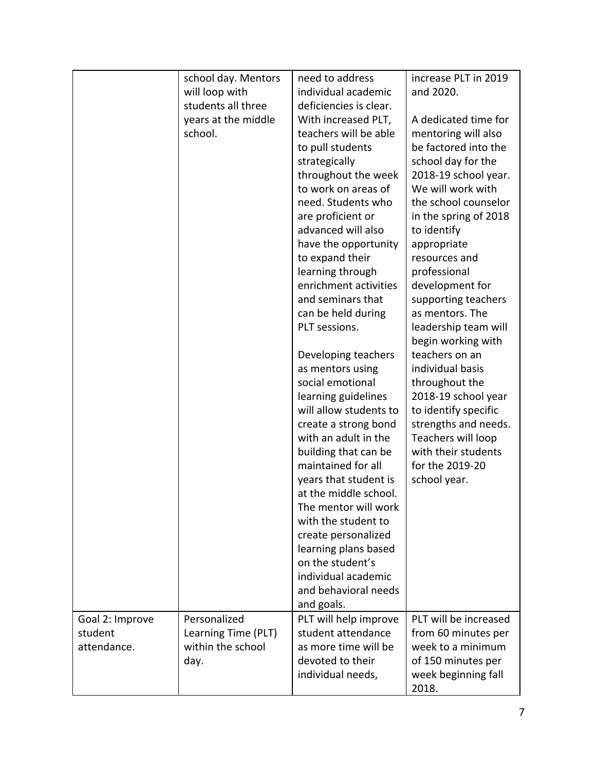| increase PLT in 2019<br>school day. Mentors<br>need to address<br>individual academic<br>and 2020.<br>will loop with<br>students all three<br>deficiencies is clear.<br>years at the middle<br>With increased PLT,<br>A dedicated time for<br>school.<br>teachers will be able<br>mentoring will also<br>to pull students<br>be factored into the<br>school day for the<br>strategically<br>throughout the week<br>2018-19 school year.<br>We will work with<br>to work on areas of<br>need. Students who<br>the school counselor<br>in the spring of 2018<br>are proficient or<br>advanced will also<br>to identify<br>have the opportunity<br>appropriate<br>to expand their<br>resources and<br>learning through<br>professional<br>enrichment activities<br>development for<br>and seminars that<br>supporting teachers<br>as mentors. The<br>can be held during<br>PLT sessions.<br>leadership team will<br>begin working with<br>teachers on an<br>Developing teachers<br>individual basis<br>as mentors using<br>social emotional<br>throughout the<br>2018-19 school year<br>learning guidelines<br>will allow students to<br>to identify specific |
|------------------------------------------------------------------------------------------------------------------------------------------------------------------------------------------------------------------------------------------------------------------------------------------------------------------------------------------------------------------------------------------------------------------------------------------------------------------------------------------------------------------------------------------------------------------------------------------------------------------------------------------------------------------------------------------------------------------------------------------------------------------------------------------------------------------------------------------------------------------------------------------------------------------------------------------------------------------------------------------------------------------------------------------------------------------------------------------------------------------------------------------------------------|
|                                                                                                                                                                                                                                                                                                                                                                                                                                                                                                                                                                                                                                                                                                                                                                                                                                                                                                                                                                                                                                                                                                                                                            |
|                                                                                                                                                                                                                                                                                                                                                                                                                                                                                                                                                                                                                                                                                                                                                                                                                                                                                                                                                                                                                                                                                                                                                            |
|                                                                                                                                                                                                                                                                                                                                                                                                                                                                                                                                                                                                                                                                                                                                                                                                                                                                                                                                                                                                                                                                                                                                                            |
|                                                                                                                                                                                                                                                                                                                                                                                                                                                                                                                                                                                                                                                                                                                                                                                                                                                                                                                                                                                                                                                                                                                                                            |
|                                                                                                                                                                                                                                                                                                                                                                                                                                                                                                                                                                                                                                                                                                                                                                                                                                                                                                                                                                                                                                                                                                                                                            |
|                                                                                                                                                                                                                                                                                                                                                                                                                                                                                                                                                                                                                                                                                                                                                                                                                                                                                                                                                                                                                                                                                                                                                            |
|                                                                                                                                                                                                                                                                                                                                                                                                                                                                                                                                                                                                                                                                                                                                                                                                                                                                                                                                                                                                                                                                                                                                                            |
|                                                                                                                                                                                                                                                                                                                                                                                                                                                                                                                                                                                                                                                                                                                                                                                                                                                                                                                                                                                                                                                                                                                                                            |
|                                                                                                                                                                                                                                                                                                                                                                                                                                                                                                                                                                                                                                                                                                                                                                                                                                                                                                                                                                                                                                                                                                                                                            |
|                                                                                                                                                                                                                                                                                                                                                                                                                                                                                                                                                                                                                                                                                                                                                                                                                                                                                                                                                                                                                                                                                                                                                            |
|                                                                                                                                                                                                                                                                                                                                                                                                                                                                                                                                                                                                                                                                                                                                                                                                                                                                                                                                                                                                                                                                                                                                                            |
|                                                                                                                                                                                                                                                                                                                                                                                                                                                                                                                                                                                                                                                                                                                                                                                                                                                                                                                                                                                                                                                                                                                                                            |
|                                                                                                                                                                                                                                                                                                                                                                                                                                                                                                                                                                                                                                                                                                                                                                                                                                                                                                                                                                                                                                                                                                                                                            |
|                                                                                                                                                                                                                                                                                                                                                                                                                                                                                                                                                                                                                                                                                                                                                                                                                                                                                                                                                                                                                                                                                                                                                            |
|                                                                                                                                                                                                                                                                                                                                                                                                                                                                                                                                                                                                                                                                                                                                                                                                                                                                                                                                                                                                                                                                                                                                                            |
|                                                                                                                                                                                                                                                                                                                                                                                                                                                                                                                                                                                                                                                                                                                                                                                                                                                                                                                                                                                                                                                                                                                                                            |
|                                                                                                                                                                                                                                                                                                                                                                                                                                                                                                                                                                                                                                                                                                                                                                                                                                                                                                                                                                                                                                                                                                                                                            |
|                                                                                                                                                                                                                                                                                                                                                                                                                                                                                                                                                                                                                                                                                                                                                                                                                                                                                                                                                                                                                                                                                                                                                            |
|                                                                                                                                                                                                                                                                                                                                                                                                                                                                                                                                                                                                                                                                                                                                                                                                                                                                                                                                                                                                                                                                                                                                                            |
|                                                                                                                                                                                                                                                                                                                                                                                                                                                                                                                                                                                                                                                                                                                                                                                                                                                                                                                                                                                                                                                                                                                                                            |
|                                                                                                                                                                                                                                                                                                                                                                                                                                                                                                                                                                                                                                                                                                                                                                                                                                                                                                                                                                                                                                                                                                                                                            |
|                                                                                                                                                                                                                                                                                                                                                                                                                                                                                                                                                                                                                                                                                                                                                                                                                                                                                                                                                                                                                                                                                                                                                            |
|                                                                                                                                                                                                                                                                                                                                                                                                                                                                                                                                                                                                                                                                                                                                                                                                                                                                                                                                                                                                                                                                                                                                                            |
|                                                                                                                                                                                                                                                                                                                                                                                                                                                                                                                                                                                                                                                                                                                                                                                                                                                                                                                                                                                                                                                                                                                                                            |
|                                                                                                                                                                                                                                                                                                                                                                                                                                                                                                                                                                                                                                                                                                                                                                                                                                                                                                                                                                                                                                                                                                                                                            |
| strengths and needs.<br>create a strong bond                                                                                                                                                                                                                                                                                                                                                                                                                                                                                                                                                                                                                                                                                                                                                                                                                                                                                                                                                                                                                                                                                                               |
| with an adult in the<br>Teachers will loop                                                                                                                                                                                                                                                                                                                                                                                                                                                                                                                                                                                                                                                                                                                                                                                                                                                                                                                                                                                                                                                                                                                 |
| building that can be<br>with their students                                                                                                                                                                                                                                                                                                                                                                                                                                                                                                                                                                                                                                                                                                                                                                                                                                                                                                                                                                                                                                                                                                                |
| maintained for all<br>for the 2019-20                                                                                                                                                                                                                                                                                                                                                                                                                                                                                                                                                                                                                                                                                                                                                                                                                                                                                                                                                                                                                                                                                                                      |
| years that student is<br>school year.                                                                                                                                                                                                                                                                                                                                                                                                                                                                                                                                                                                                                                                                                                                                                                                                                                                                                                                                                                                                                                                                                                                      |
| at the middle school.                                                                                                                                                                                                                                                                                                                                                                                                                                                                                                                                                                                                                                                                                                                                                                                                                                                                                                                                                                                                                                                                                                                                      |
| The mentor will work                                                                                                                                                                                                                                                                                                                                                                                                                                                                                                                                                                                                                                                                                                                                                                                                                                                                                                                                                                                                                                                                                                                                       |
| with the student to                                                                                                                                                                                                                                                                                                                                                                                                                                                                                                                                                                                                                                                                                                                                                                                                                                                                                                                                                                                                                                                                                                                                        |
| create personalized                                                                                                                                                                                                                                                                                                                                                                                                                                                                                                                                                                                                                                                                                                                                                                                                                                                                                                                                                                                                                                                                                                                                        |
| learning plans based                                                                                                                                                                                                                                                                                                                                                                                                                                                                                                                                                                                                                                                                                                                                                                                                                                                                                                                                                                                                                                                                                                                                       |
| on the student's                                                                                                                                                                                                                                                                                                                                                                                                                                                                                                                                                                                                                                                                                                                                                                                                                                                                                                                                                                                                                                                                                                                                           |
| individual academic                                                                                                                                                                                                                                                                                                                                                                                                                                                                                                                                                                                                                                                                                                                                                                                                                                                                                                                                                                                                                                                                                                                                        |
| and behavioral needs                                                                                                                                                                                                                                                                                                                                                                                                                                                                                                                                                                                                                                                                                                                                                                                                                                                                                                                                                                                                                                                                                                                                       |
| and goals.<br>PLT will be increased                                                                                                                                                                                                                                                                                                                                                                                                                                                                                                                                                                                                                                                                                                                                                                                                                                                                                                                                                                                                                                                                                                                        |
| Personalized<br>PLT will help improve<br>Goal 2: Improve<br>student attendance                                                                                                                                                                                                                                                                                                                                                                                                                                                                                                                                                                                                                                                                                                                                                                                                                                                                                                                                                                                                                                                                             |
| Learning Time (PLT)<br>student<br>from 60 minutes per<br>within the school<br>as more time will be                                                                                                                                                                                                                                                                                                                                                                                                                                                                                                                                                                                                                                                                                                                                                                                                                                                                                                                                                                                                                                                         |
| attendance.<br>week to a minimum<br>devoted to their                                                                                                                                                                                                                                                                                                                                                                                                                                                                                                                                                                                                                                                                                                                                                                                                                                                                                                                                                                                                                                                                                                       |
| of 150 minutes per<br>day.                                                                                                                                                                                                                                                                                                                                                                                                                                                                                                                                                                                                                                                                                                                                                                                                                                                                                                                                                                                                                                                                                                                                 |
| individual needs,<br>week beginning fall<br>2018.                                                                                                                                                                                                                                                                                                                                                                                                                                                                                                                                                                                                                                                                                                                                                                                                                                                                                                                                                                                                                                                                                                          |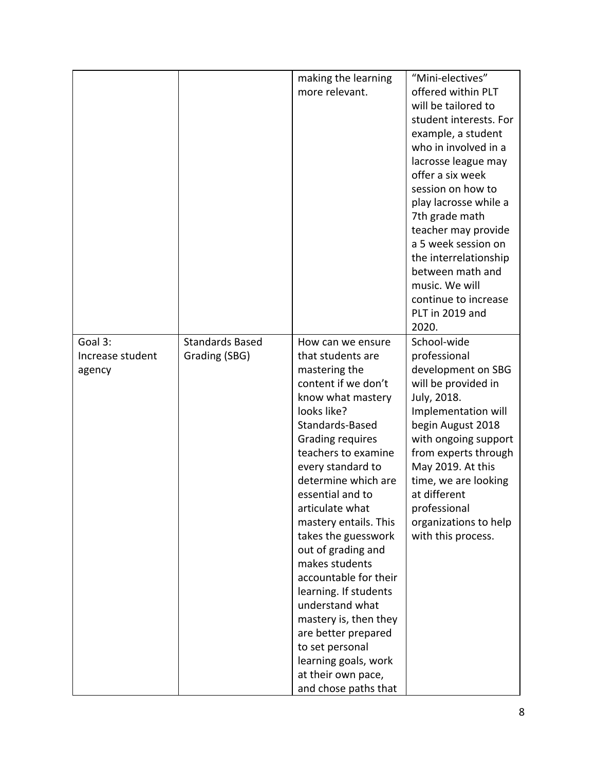|                  |                        | making the learning   | "Mini-electives"       |
|------------------|------------------------|-----------------------|------------------------|
|                  |                        | more relevant.        | offered within PLT     |
|                  |                        |                       | will be tailored to    |
|                  |                        |                       | student interests. For |
|                  |                        |                       | example, a student     |
|                  |                        |                       | who in involved in a   |
|                  |                        |                       | lacrosse league may    |
|                  |                        |                       | offer a six week       |
|                  |                        |                       | session on how to      |
|                  |                        |                       | play lacrosse while a  |
|                  |                        |                       | 7th grade math         |
|                  |                        |                       | teacher may provide    |
|                  |                        |                       | a 5 week session on    |
|                  |                        |                       | the interrelationship  |
|                  |                        |                       | between math and       |
|                  |                        |                       | music. We will         |
|                  |                        |                       | continue to increase   |
|                  |                        |                       | PLT in 2019 and        |
|                  |                        |                       | 2020.                  |
| Goal 3:          | <b>Standards Based</b> | How can we ensure     | School-wide            |
| Increase student | Grading (SBG)          | that students are     | professional           |
| agency           |                        | mastering the         | development on SBG     |
|                  |                        | content if we don't   | will be provided in    |
|                  |                        | know what mastery     | July, 2018.            |
|                  |                        | looks like?           | Implementation will    |
|                  |                        | Standards-Based       | begin August 2018      |
|                  |                        | Grading requires      | with ongoing support   |
|                  |                        | teachers to examine   | from experts through   |
|                  |                        | every standard to     | May 2019. At this      |
|                  |                        | determine which are   | time, we are looking   |
|                  |                        | essential and to      | at different           |
|                  |                        | articulate what       | professional           |
|                  |                        | mastery entails. This | organizations to help  |
|                  |                        | takes the guesswork   | with this process.     |
|                  |                        | out of grading and    |                        |
|                  |                        | makes students        |                        |
|                  |                        | accountable for their |                        |
|                  |                        | learning. If students |                        |
|                  |                        | understand what       |                        |
|                  |                        | mastery is, then they |                        |
|                  |                        | are better prepared   |                        |
|                  |                        | to set personal       |                        |
|                  |                        | learning goals, work  |                        |
|                  |                        | at their own pace,    |                        |
|                  |                        | and chose paths that  |                        |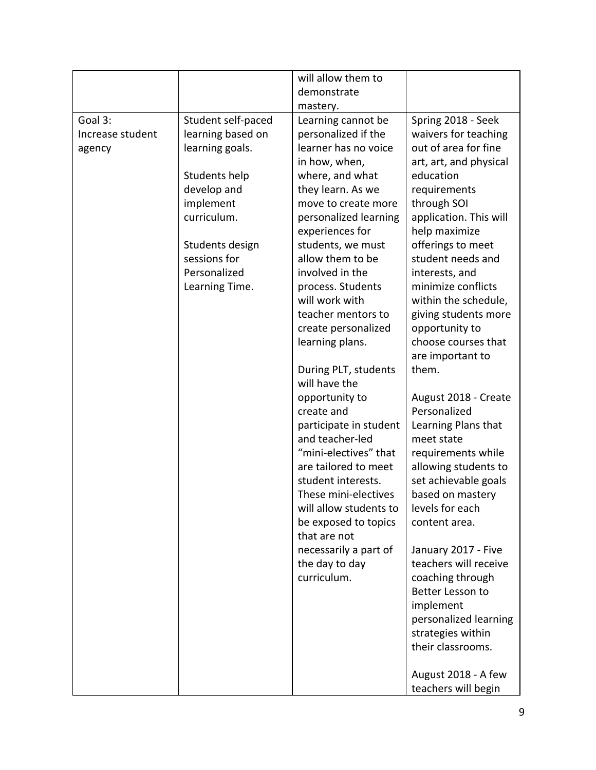|                                       |                                                                                                                                                                                             | will allow them to<br>demonstrate<br>mastery.                                                                                                                                                                                                                                                                                                                                                                                                                                                                                                                                                                                                                                                                     |                                                                                                                                                                                                                                                                                                                                                                                                                                                                                                                                                                                                                                                                                                                                                                                                                              |
|---------------------------------------|---------------------------------------------------------------------------------------------------------------------------------------------------------------------------------------------|-------------------------------------------------------------------------------------------------------------------------------------------------------------------------------------------------------------------------------------------------------------------------------------------------------------------------------------------------------------------------------------------------------------------------------------------------------------------------------------------------------------------------------------------------------------------------------------------------------------------------------------------------------------------------------------------------------------------|------------------------------------------------------------------------------------------------------------------------------------------------------------------------------------------------------------------------------------------------------------------------------------------------------------------------------------------------------------------------------------------------------------------------------------------------------------------------------------------------------------------------------------------------------------------------------------------------------------------------------------------------------------------------------------------------------------------------------------------------------------------------------------------------------------------------------|
| Goal 3:<br>Increase student<br>agency | Student self-paced<br>learning based on<br>learning goals.<br>Students help<br>develop and<br>implement<br>curriculum.<br>Students design<br>sessions for<br>Personalized<br>Learning Time. | Learning cannot be<br>personalized if the<br>learner has no voice<br>in how, when,<br>where, and what<br>they learn. As we<br>move to create more<br>personalized learning<br>experiences for<br>students, we must<br>allow them to be<br>involved in the<br>process. Students<br>will work with<br>teacher mentors to<br>create personalized<br>learning plans.<br>During PLT, students<br>will have the<br>opportunity to<br>create and<br>participate in student<br>and teacher-led<br>"mini-electives" that<br>are tailored to meet<br>student interests.<br>These mini-electives<br>will allow students to<br>be exposed to topics<br>that are not<br>necessarily a part of<br>the day to day<br>curriculum. | Spring 2018 - Seek<br>waivers for teaching<br>out of area for fine<br>art, art, and physical<br>education<br>requirements<br>through SOI<br>application. This will<br>help maximize<br>offerings to meet<br>student needs and<br>interests, and<br>minimize conflicts<br>within the schedule,<br>giving students more<br>opportunity to<br>choose courses that<br>are important to<br>them.<br>August 2018 - Create<br>Personalized<br>Learning Plans that<br>meet state<br>requirements while<br>allowing students to<br>set achievable goals<br>based on mastery<br>levels for each<br>content area.<br>January 2017 - Five<br>teachers will receive<br>coaching through<br>Better Lesson to<br>implement<br>personalized learning<br>strategies within<br>their classrooms.<br>August 2018 - A few<br>teachers will begin |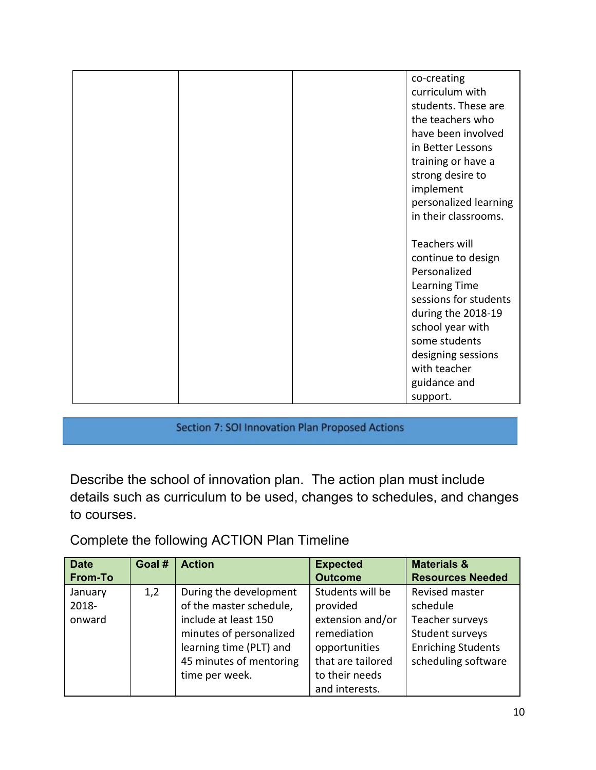| co-creating           |
|-----------------------|
| curriculum with       |
| students. These are   |
| the teachers who      |
| have been involved    |
| in Better Lessons     |
| training or have a    |
| strong desire to      |
| implement             |
| personalized learning |
| in their classrooms.  |
|                       |
| <b>Teachers will</b>  |
| continue to design    |
| Personalized          |
| Learning Time         |
| sessions for students |
| during the 2018-19    |
| school year with      |
| some students         |
| designing sessions    |
| with teacher          |
| guidance and          |
| support.              |

Section 7: SOI Innovation Plan Proposed Actions

Describe the school of innovation plan. The action plan must include details such as curriculum to be used, changes to schedules, and changes to courses.

Complete the following ACTION Plan Timeline

| <b>Date</b><br><b>From-To</b> | Goal # | <b>Action</b>           | <b>Expected</b><br><b>Outcome</b> | <b>Materials &amp;</b><br><b>Resources Needed</b> |
|-------------------------------|--------|-------------------------|-----------------------------------|---------------------------------------------------|
|                               |        |                         |                                   |                                                   |
| January                       | 1,2    | During the development  | Students will be                  | Revised master                                    |
| 2018-                         |        | of the master schedule, | provided                          | schedule                                          |
| onward                        |        | include at least 150    | extension and/or                  | Teacher surveys                                   |
|                               |        | minutes of personalized | remediation                       | Student surveys                                   |
|                               |        | learning time (PLT) and | opportunities                     | <b>Enriching Students</b>                         |
|                               |        | 45 minutes of mentoring | that are tailored                 | scheduling software                               |
|                               |        | time per week.          | to their needs                    |                                                   |
|                               |        |                         | and interests.                    |                                                   |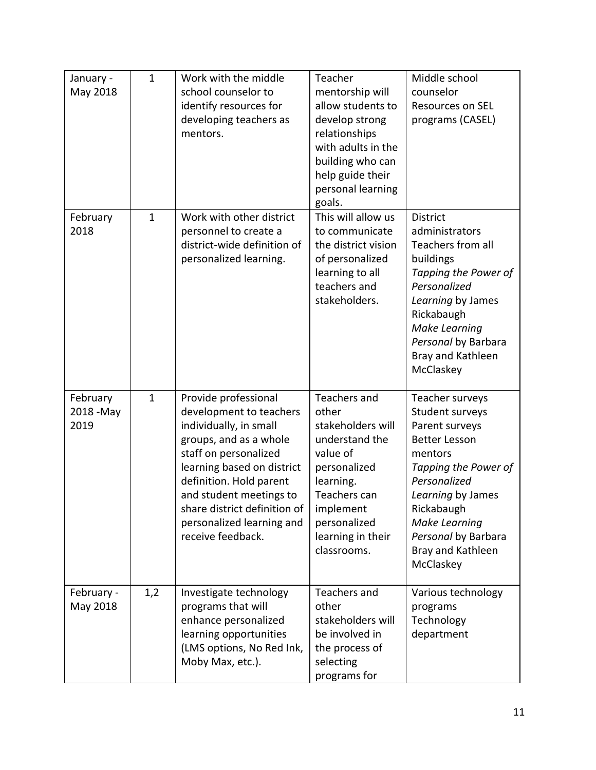| January -<br>May 2018          | $\mathbf{1}$ | Work with the middle<br>school counselor to<br>identify resources for<br>developing teachers as<br>mentors.                                                                                                                                                                                        | Teacher<br>mentorship will<br>allow students to<br>develop strong<br>relationships<br>with adults in the<br>building who can<br>help guide their<br>personal learning                  | Middle school<br>counselor<br><b>Resources on SEL</b><br>programs (CASEL)                                                                                                                                                                           |
|--------------------------------|--------------|----------------------------------------------------------------------------------------------------------------------------------------------------------------------------------------------------------------------------------------------------------------------------------------------------|----------------------------------------------------------------------------------------------------------------------------------------------------------------------------------------|-----------------------------------------------------------------------------------------------------------------------------------------------------------------------------------------------------------------------------------------------------|
| February<br>2018               | $\mathbf{1}$ | Work with other district<br>personnel to create a<br>district-wide definition of<br>personalized learning.                                                                                                                                                                                         | goals.<br>This will allow us<br>to communicate<br>the district vision<br>of personalized<br>learning to all<br>teachers and<br>stakeholders.                                           | <b>District</b><br>administrators<br>Teachers from all<br>buildings<br>Tapping the Power of<br>Personalized<br>Learning by James<br>Rickabaugh<br><b>Make Learning</b><br>Personal by Barbara<br>Bray and Kathleen<br>McClaskey                     |
| February<br>2018 - May<br>2019 | $\mathbf{1}$ | Provide professional<br>development to teachers<br>individually, in small<br>groups, and as a whole<br>staff on personalized<br>learning based on district<br>definition. Hold parent<br>and student meetings to<br>share district definition of<br>personalized learning and<br>receive feedback. | Teachers and<br>other<br>stakeholders will<br>understand the<br>value of<br>personalized<br>learning.<br>Teachers can<br>implement<br>personalized<br>learning in their<br>classrooms. | Teacher surveys<br>Student surveys<br>Parent surveys<br><b>Better Lesson</b><br>mentors<br>Tapping the Power of<br>Personalized<br>Learning by James<br>Rickabaugh<br><b>Make Learning</b><br>Personal by Barbara<br>Bray and Kathleen<br>McClaskey |
| February -<br>May 2018         | 1,2          | Investigate technology<br>programs that will<br>enhance personalized<br>learning opportunities<br>(LMS options, No Red Ink,<br>Moby Max, etc.).                                                                                                                                                    | Teachers and<br>other<br>stakeholders will<br>be involved in<br>the process of<br>selecting<br>programs for                                                                            | Various technology<br>programs<br>Technology<br>department                                                                                                                                                                                          |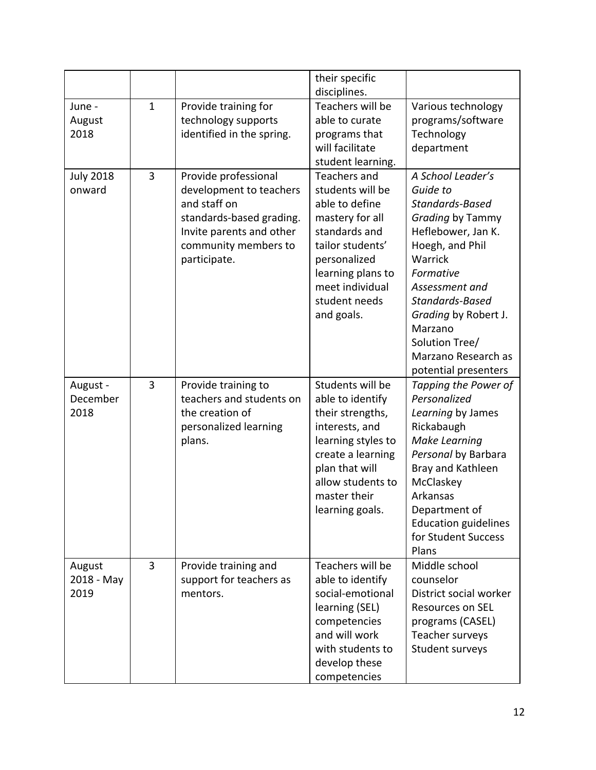|                              |                |                                                                                                                                                                 | their specific<br>disciplines.                                                                                                                                                                           |                                                                                                                                                                                                                                                                                |
|------------------------------|----------------|-----------------------------------------------------------------------------------------------------------------------------------------------------------------|----------------------------------------------------------------------------------------------------------------------------------------------------------------------------------------------------------|--------------------------------------------------------------------------------------------------------------------------------------------------------------------------------------------------------------------------------------------------------------------------------|
| June -<br>August<br>2018     | $\mathbf{1}$   | Provide training for<br>technology supports<br>identified in the spring.                                                                                        | Teachers will be<br>able to curate<br>programs that<br>will facilitate<br>student learning.                                                                                                              | Various technology<br>programs/software<br>Technology<br>department                                                                                                                                                                                                            |
| <b>July 2018</b><br>onward   | $\overline{3}$ | Provide professional<br>development to teachers<br>and staff on<br>standards-based grading.<br>Invite parents and other<br>community members to<br>participate. | <b>Teachers and</b><br>students will be<br>able to define<br>mastery for all<br>standards and<br>tailor students'<br>personalized<br>learning plans to<br>meet individual<br>student needs<br>and goals. | A School Leader's<br>Guide to<br>Standards-Based<br>Grading by Tammy<br>Heflebower, Jan K.<br>Hoegh, and Phil<br>Warrick<br>Formative<br>Assessment and<br>Standards-Based<br>Grading by Robert J.<br>Marzano<br>Solution Tree/<br>Marzano Research as<br>potential presenters |
| August -<br>December<br>2018 | 3              | Provide training to<br>teachers and students on<br>the creation of<br>personalized learning<br>plans.                                                           | Students will be<br>able to identify<br>their strengths,<br>interests, and<br>learning styles to<br>create a learning<br>plan that will<br>allow students to<br>master their<br>learning goals.          | Tapping the Power of<br>Personalized<br>Learning by James<br>Rickabaugh<br><b>Make Learning</b><br>Personal by Barbara<br>Bray and Kathleen<br>McClaskey<br>Arkansas<br>Department of<br><b>Education guidelines</b><br>for Student Success<br>Plans                           |
| August<br>2018 - May<br>2019 | 3              | Provide training and<br>support for teachers as<br>mentors.                                                                                                     | Teachers will be<br>able to identify<br>social-emotional<br>learning (SEL)<br>competencies<br>and will work<br>with students to<br>develop these<br>competencies                                         | Middle school<br>counselor<br>District social worker<br><b>Resources on SEL</b><br>programs (CASEL)<br>Teacher surveys<br>Student surveys                                                                                                                                      |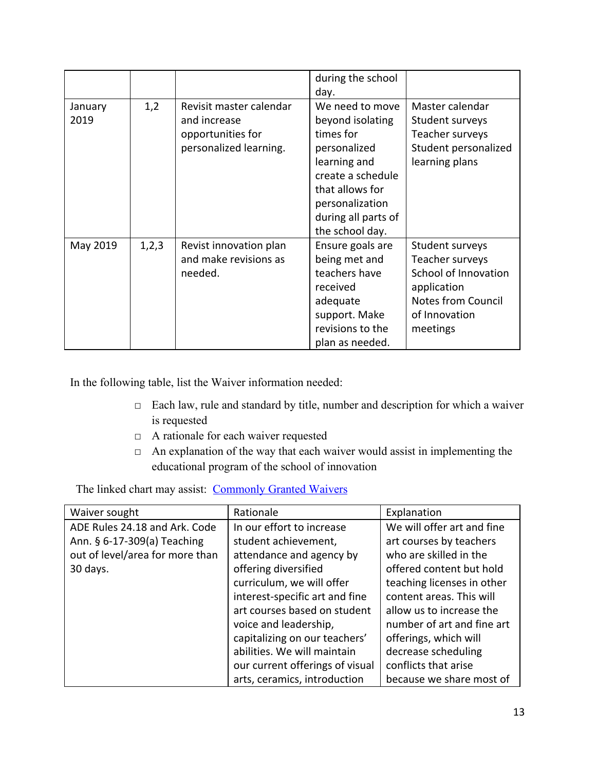|                 |       |                                                                                        | during the school<br>day.                                                                                                                                                             |                                                                                                                                     |
|-----------------|-------|----------------------------------------------------------------------------------------|---------------------------------------------------------------------------------------------------------------------------------------------------------------------------------------|-------------------------------------------------------------------------------------------------------------------------------------|
| January<br>2019 | 1,2   | Revisit master calendar<br>and increase<br>opportunities for<br>personalized learning. | We need to move<br>beyond isolating<br>times for<br>personalized<br>learning and<br>create a schedule<br>that allows for<br>personalization<br>during all parts of<br>the school day. | Master calendar<br>Student surveys<br>Teacher surveys<br>Student personalized<br>learning plans                                     |
| May 2019        | 1,2,3 | Revist innovation plan<br>and make revisions as<br>needed.                             | Ensure goals are<br>being met and<br>teachers have<br>received<br>adequate<br>support. Make<br>revisions to the<br>plan as needed.                                                    | Student surveys<br>Teacher surveys<br>School of Innovation<br>application<br><b>Notes from Council</b><br>of Innovation<br>meetings |

In the following table, list the Waiver information needed:

- □ Each law, rule and standard by title, number and description for which a waiver is requested
- □ A rationale for each waiver requested
- $\Box$  An explanation of the way that each waiver would assist in implementing the educational program of the school of innovation

The linked chart may assist: [Commonly Granted Waivers](http://www.arkansased.gov/public/userfiles/Learning_Services/Charter%20and%20Home%20School/Charter%20School-Division%20of%20Learning%20Services/Applications/Waiver_Document.pdf)

| Waiver sought                   | Rationale                       | Explanation                |
|---------------------------------|---------------------------------|----------------------------|
| ADE Rules 24.18 and Ark. Code   | In our effort to increase       | We will offer art and fine |
| Ann. § 6-17-309(a) Teaching     | student achievement,            | art courses by teachers    |
| out of level/area for more than | attendance and agency by        | who are skilled in the     |
| 30 days.                        | offering diversified            | offered content but hold   |
|                                 | curriculum, we will offer       | teaching licenses in other |
|                                 | interest-specific art and fine  | content areas. This will   |
|                                 | art courses based on student    | allow us to increase the   |
|                                 | voice and leadership,           | number of art and fine art |
|                                 | capitalizing on our teachers'   | offerings, which will      |
|                                 | abilities. We will maintain     | decrease scheduling        |
|                                 | our current offerings of visual | conflicts that arise       |
|                                 | arts, ceramics, introduction    | because we share most of   |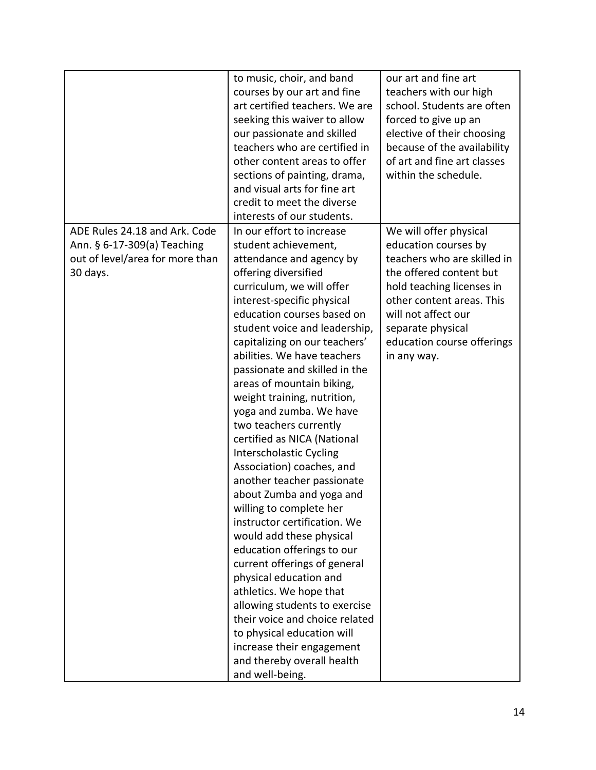|                                 | to music, choir, and band      | our art and fine art        |
|---------------------------------|--------------------------------|-----------------------------|
|                                 | courses by our art and fine    | teachers with our high      |
|                                 | art certified teachers. We are | school. Students are often  |
|                                 | seeking this waiver to allow   | forced to give up an        |
|                                 | our passionate and skilled     | elective of their choosing  |
|                                 | teachers who are certified in  | because of the availability |
|                                 | other content areas to offer   | of art and fine art classes |
|                                 | sections of painting, drama,   | within the schedule.        |
|                                 | and visual arts for fine art   |                             |
|                                 | credit to meet the diverse     |                             |
|                                 | interests of our students.     |                             |
| ADE Rules 24.18 and Ark. Code   | In our effort to increase      | We will offer physical      |
| Ann. § 6-17-309(a) Teaching     | student achievement,           | education courses by        |
| out of level/area for more than | attendance and agency by       | teachers who are skilled in |
| 30 days.                        | offering diversified           | the offered content but     |
|                                 | curriculum, we will offer      | hold teaching licenses in   |
|                                 | interest-specific physical     | other content areas. This   |
|                                 | education courses based on     | will not affect our         |
|                                 | student voice and leadership,  | separate physical           |
|                                 | capitalizing on our teachers'  | education course offerings  |
|                                 | abilities. We have teachers    | in any way.                 |
|                                 | passionate and skilled in the  |                             |
|                                 | areas of mountain biking,      |                             |
|                                 | weight training, nutrition,    |                             |
|                                 | yoga and zumba. We have        |                             |
|                                 | two teachers currently         |                             |
|                                 | certified as NICA (National    |                             |
|                                 | Interscholastic Cycling        |                             |
|                                 | Association) coaches, and      |                             |
|                                 | another teacher passionate     |                             |
|                                 | about Zumba and yoga and       |                             |
|                                 | willing to complete her        |                             |
|                                 | instructor certification. We   |                             |
|                                 | would add these physical       |                             |
|                                 | education offerings to our     |                             |
|                                 | current offerings of general   |                             |
|                                 | physical education and         |                             |
|                                 | athletics. We hope that        |                             |
|                                 | allowing students to exercise  |                             |
|                                 | their voice and choice related |                             |
|                                 | to physical education will     |                             |
|                                 | increase their engagement      |                             |
|                                 | and thereby overall health     |                             |
|                                 | and well-being.                |                             |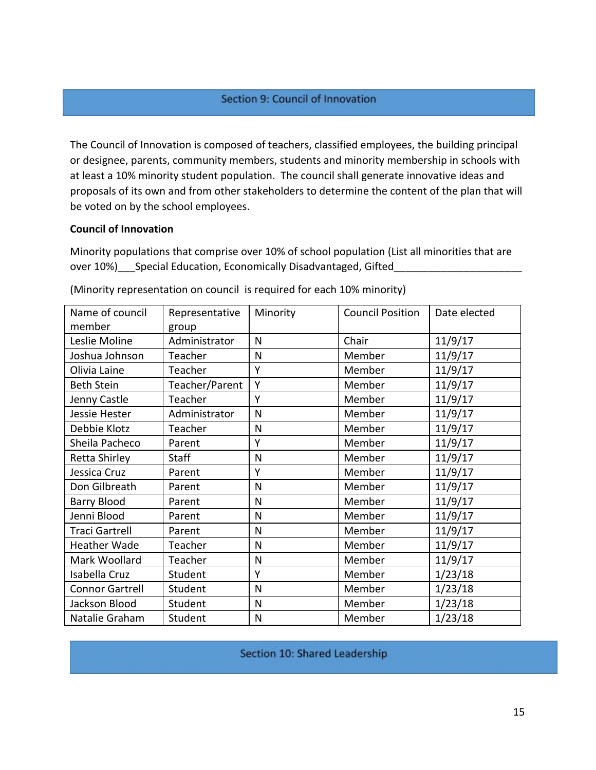#### Section 9: Council of Innovation

The Council of Innovation is composed of teachers, classified employees, the building principal or designee, parents, community members, students and minority membership in schools with at least a 10% minority student population. The council shall generate innovative ideas and proposals of its own and from other stakeholders to determine the content of the plan that will be voted on by the school employees.

#### **Council of Innovation**

Minority populations that comprise over 10% of school population (List all minorities that are over 10%)\_\_\_Special Education, Economically Disadvantaged, Gifted\_

| Name of council        | Representative | Minority     | <b>Council Position</b> | Date elected |
|------------------------|----------------|--------------|-------------------------|--------------|
| member                 | group          |              |                         |              |
| Leslie Moline          | Administrator  | N            | Chair                   | 11/9/17      |
| Joshua Johnson         | Teacher        | $\mathsf{N}$ | Member                  | 11/9/17      |
| Olivia Laine           | Teacher        | Y            | Member                  | 11/9/17      |
| <b>Beth Stein</b>      | Teacher/Parent | Y            | Member                  | 11/9/17      |
| Jenny Castle           | Teacher        | Y            | Member                  | 11/9/17      |
| Jessie Hester          | Administrator  | N            | Member                  | 11/9/17      |
| Debbie Klotz           | Teacher        | N            | Member                  | 11/9/17      |
| Sheila Pacheco         | Parent         | Y            | Member                  | 11/9/17      |
| <b>Retta Shirley</b>   | <b>Staff</b>   | N            | Member                  | 11/9/17      |
| Jessica Cruz           | Parent         | Y            | Member                  | 11/9/17      |
| Don Gilbreath          | Parent         | N            | Member                  | 11/9/17      |
| <b>Barry Blood</b>     | Parent         | N            | Member                  | 11/9/17      |
| Jenni Blood            | Parent         | $\mathsf{N}$ | Member                  | 11/9/17      |
| Traci Gartrell         | Parent         | N            | Member                  | 11/9/17      |
| Heather Wade           | Teacher        | $\mathsf{N}$ | Member                  | 11/9/17      |
| Mark Woollard          | Teacher        | $\mathsf{N}$ | Member                  | 11/9/17      |
| Isabella Cruz          | Student        | Y            | Member                  | 1/23/18      |
| <b>Connor Gartrell</b> | Student        | N            | Member                  | 1/23/18      |
| Jackson Blood          | Student        | $\mathsf{N}$ | Member                  | 1/23/18      |
| Natalie Graham         | Student        | N            | Member                  | 1/23/18      |

(Minority representation on council is required for each 10% minority)

```
Section 10: Shared Leadership
```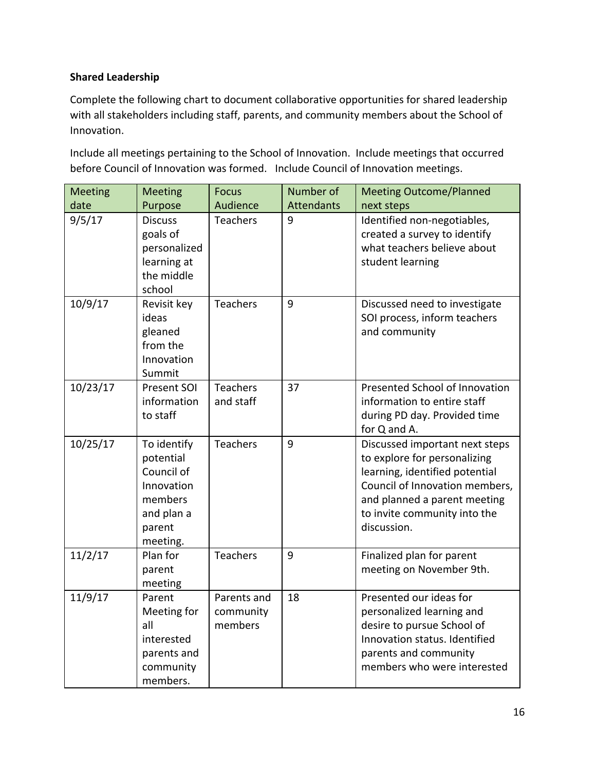## **Shared Leadership**

Complete the following chart to document collaborative opportunities for shared leadership with all stakeholders including staff, parents, and community members about the School of Innovation.

Include all meetings pertaining to the School of Innovation. Include meetings that occurred before Council of Innovation was formed. Include Council of Innovation meetings.

| <b>Meeting</b> | <b>Meeting</b>                                                                                      | <b>Focus</b>                        | Number of         | <b>Meeting Outcome/Planned</b>                                                                                                                                                                                    |
|----------------|-----------------------------------------------------------------------------------------------------|-------------------------------------|-------------------|-------------------------------------------------------------------------------------------------------------------------------------------------------------------------------------------------------------------|
| date           | Purpose                                                                                             | Audience                            | <b>Attendants</b> | next steps                                                                                                                                                                                                        |
| 9/5/17         | <b>Discuss</b><br>goals of<br>personalized<br>learning at<br>the middle<br>school                   | <b>Teachers</b>                     | 9                 | Identified non-negotiables,<br>created a survey to identify<br>what teachers believe about<br>student learning                                                                                                    |
| 10/9/17        | Revisit key<br>ideas<br>gleaned<br>from the<br>Innovation<br>Summit                                 | <b>Teachers</b>                     | 9                 | Discussed need to investigate<br>SOI process, inform teachers<br>and community                                                                                                                                    |
| 10/23/17       | Present SOI<br>information<br>to staff                                                              | <b>Teachers</b><br>and staff        | 37                | Presented School of Innovation<br>information to entire staff<br>during PD day. Provided time<br>for Q and A.                                                                                                     |
| 10/25/17       | To identify<br>potential<br>Council of<br>Innovation<br>members<br>and plan a<br>parent<br>meeting. | <b>Teachers</b>                     | 9                 | Discussed important next steps<br>to explore for personalizing<br>learning, identified potential<br>Council of Innovation members,<br>and planned a parent meeting<br>to invite community into the<br>discussion. |
| 11/2/17        | Plan for<br>parent<br>meeting                                                                       | <b>Teachers</b>                     | 9                 | Finalized plan for parent<br>meeting on November 9th.                                                                                                                                                             |
| 11/9/17        | Parent<br>Meeting for<br>all<br>interested<br>parents and<br>community<br>members.                  | Parents and<br>community<br>members | 18                | Presented our ideas for<br>personalized learning and<br>desire to pursue School of<br>Innovation status. Identified<br>parents and community<br>members who were interested                                       |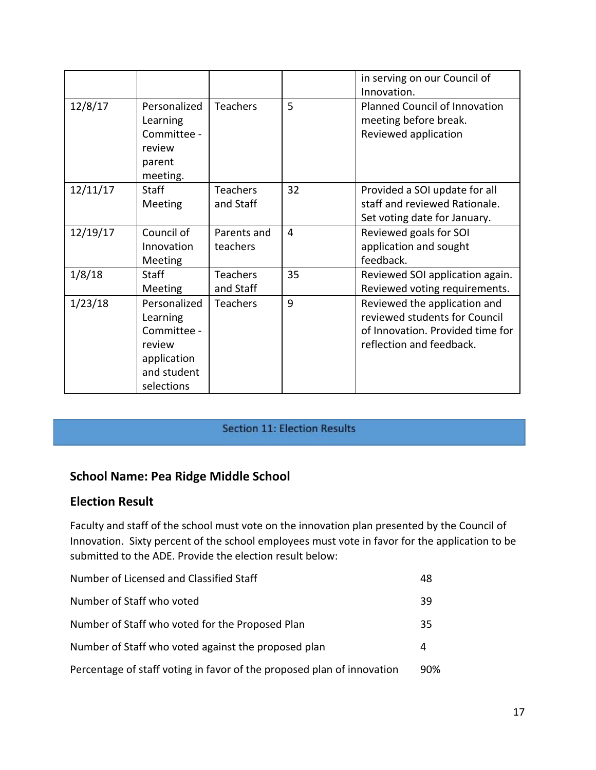|          |                                                                                               |                              |    | in serving on our Council of<br>Innovation.                                                                                   |
|----------|-----------------------------------------------------------------------------------------------|------------------------------|----|-------------------------------------------------------------------------------------------------------------------------------|
| 12/8/17  | Personalized<br>Learning<br>Committee -<br>review<br>parent<br>meeting.                       | <b>Teachers</b>              | 5  | <b>Planned Council of Innovation</b><br>meeting before break.<br>Reviewed application                                         |
| 12/11/17 | <b>Staff</b><br>Meeting                                                                       | <b>Teachers</b><br>and Staff | 32 | Provided a SOI update for all<br>staff and reviewed Rationale.<br>Set voting date for January.                                |
| 12/19/17 | Council of<br>Innovation<br>Meeting                                                           | Parents and<br>teachers      | 4  | Reviewed goals for SOI<br>application and sought<br>feedback.                                                                 |
| 1/8/18   | <b>Staff</b><br><b>Meeting</b>                                                                | <b>Teachers</b><br>and Staff | 35 | Reviewed SOI application again.<br>Reviewed voting requirements.                                                              |
| 1/23/18  | Personalized<br>Learning<br>Committee -<br>review<br>application<br>and student<br>selections | Teachers                     | 9  | Reviewed the application and<br>reviewed students for Council<br>of Innovation. Provided time for<br>reflection and feedback. |

# Section 11: Election Results

# **School Name: Pea Ridge Middle School**

# **Election Result**

Faculty and staff of the school must vote on the innovation plan presented by the Council of Innovation. Sixty percent of the school employees must vote in favor for the application to be submitted to the ADE. Provide the election result below:

| Number of Licensed and Classified Staff                                | 48  |
|------------------------------------------------------------------------|-----|
| Number of Staff who voted                                              | 39  |
| Number of Staff who voted for the Proposed Plan                        | 35  |
| Number of Staff who voted against the proposed plan                    | 4   |
| Percentage of staff voting in favor of the proposed plan of innovation | 90% |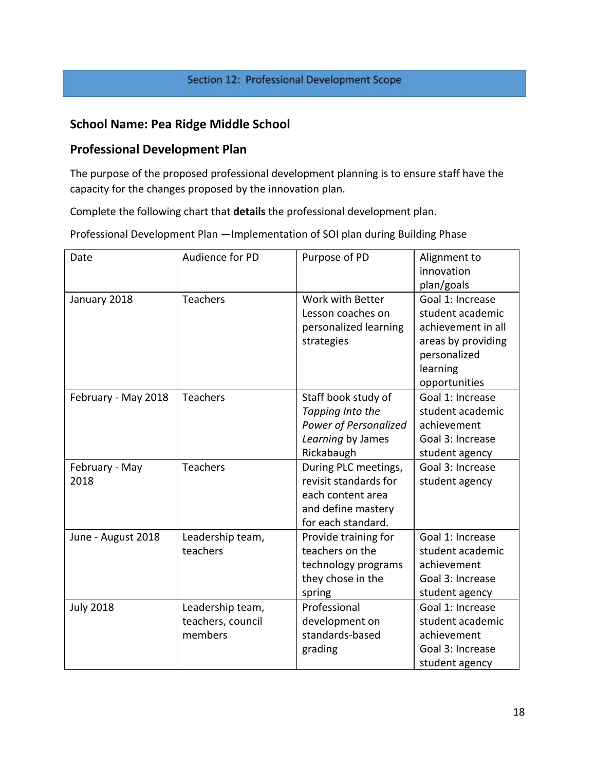#### Section 12: Professional Development Scope

# **School Name: Pea Ridge Middle School**

## **Professional Development Plan**

The purpose of the proposed professional development planning is to ensure staff have the capacity for the changes proposed by the innovation plan.

Complete the following chart that **details** the professional development plan.

Professional Development Plan —Implementation of SOI plan during Building Phase

| Date                   | Audience for PD                                  | Purpose of PD                                                                                                  | Alignment to<br>innovation<br>plan/goals                                                                                      |
|------------------------|--------------------------------------------------|----------------------------------------------------------------------------------------------------------------|-------------------------------------------------------------------------------------------------------------------------------|
| January 2018           | Teachers                                         | Work with Better<br>Lesson coaches on<br>personalized learning<br>strategies                                   | Goal 1: Increase<br>student academic<br>achievement in all<br>areas by providing<br>personalized<br>learning<br>opportunities |
| February - May 2018    | <b>Teachers</b>                                  | Staff book study of<br>Tapping Into the<br>Power of Personalized<br>Learning by James<br>Rickabaugh            | Goal 1: Increase<br>student academic<br>achievement<br>Goal 3: Increase<br>student agency                                     |
| February - May<br>2018 | <b>Teachers</b>                                  | During PLC meetings,<br>revisit standards for<br>each content area<br>and define mastery<br>for each standard. | Goal 3: Increase<br>student agency                                                                                            |
| June - August 2018     | Leadership team,<br>teachers                     | Provide training for<br>teachers on the<br>technology programs<br>they chose in the<br>spring                  | Goal 1: Increase<br>student academic<br>achievement<br>Goal 3: Increase<br>student agency                                     |
| <b>July 2018</b>       | Leadership team,<br>teachers, council<br>members | Professional<br>development on<br>standards-based<br>grading                                                   | Goal 1: Increase<br>student academic<br>achievement<br>Goal 3: Increase<br>student agency                                     |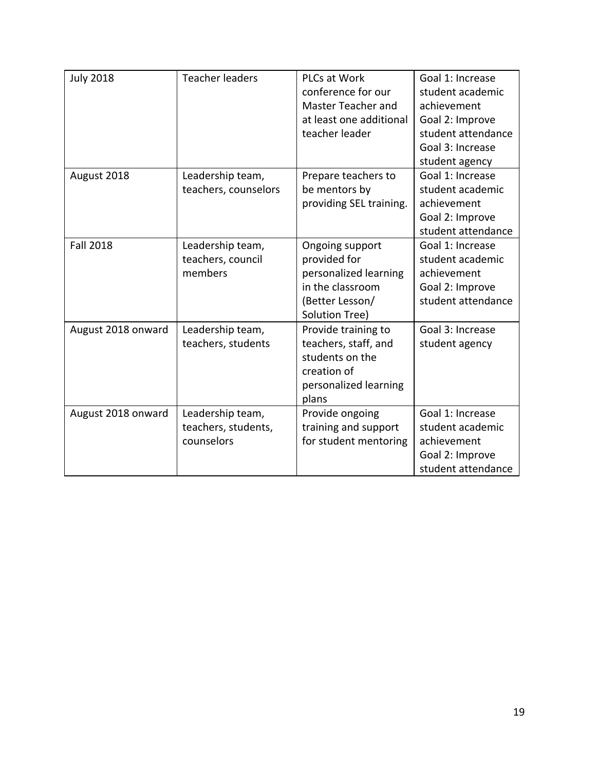| <b>July 2018</b>   | <b>Teacher leaders</b>                                | PLCs at Work<br>conference for our<br>Master Teacher and<br>at least one additional<br>teacher leader             | Goal 1: Increase<br>student academic<br>achievement<br>Goal 2: Improve<br>student attendance<br>Goal 3: Increase<br>student agency |
|--------------------|-------------------------------------------------------|-------------------------------------------------------------------------------------------------------------------|------------------------------------------------------------------------------------------------------------------------------------|
| August 2018        | Leadership team,<br>teachers, counselors              | Prepare teachers to<br>be mentors by<br>providing SEL training.                                                   | Goal 1: Increase<br>student academic<br>achievement<br>Goal 2: Improve<br>student attendance                                       |
| <b>Fall 2018</b>   | Leadership team,<br>teachers, council<br>members      | Ongoing support<br>provided for<br>personalized learning<br>in the classroom<br>(Better Lesson/<br>Solution Tree) | Goal 1: Increase<br>student academic<br>achievement<br>Goal 2: Improve<br>student attendance                                       |
| August 2018 onward | Leadership team,<br>teachers, students                | Provide training to<br>teachers, staff, and<br>students on the<br>creation of<br>personalized learning<br>plans   | Goal 3: Increase<br>student agency                                                                                                 |
| August 2018 onward | Leadership team,<br>teachers, students,<br>counselors | Provide ongoing<br>training and support<br>for student mentoring                                                  | Goal 1: Increase<br>student academic<br>achievement<br>Goal 2: Improve<br>student attendance                                       |